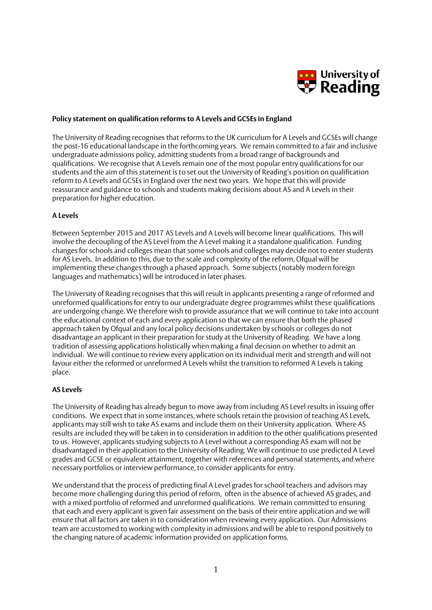

### **Policy statement on qualification reforms to A Levels and GCSEs in England**

The University of Reading recognises that reforms to the UK curriculum for A Levels and GCSEs will change the post-16 educational landscape in the forthcoming years. We remain committed to a fair and inclusive undergraduate admissions policy, admitting students from a broad range of backgrounds and qualifications. We recognise that A Levels remain one of the most popular entry qualifications for our students and the aim of this statement is to set out the University of Reading's position on qualification reform to A Levels and GCSEs in England over the next two years. We hope that this will provide reassurance and guidance to schools and students making decisions about AS and A Levels in their preparation for higher education.

## **A Levels**

Between September 2015 and 2017 AS Levels and A Levels will become linear qualifications. This will involve the decoupling of the AS Level from the A Level making it a standalone qualification. Funding changes for schools and colleges mean that some schools and colleges may decide not to enter students for AS Levels. In addition to this, due to the scale and complexity of the reform, Ofqual will be implementing these changes through a phased approach. Some subjects (notably modern foreign languages and mathematics) will be introduced in later phases.

The University of Reading recognises that this will result in applicants presenting a range of reformed and unreformed qualifications for entry to our undergraduate degree programmes whilst these qualifications are undergoing change. We therefore wish to provide assurance that we will continue to take into account the educational context of each and every application so that we can ensure that both the phased approach taken by Ofqual and any local policy decisions undertaken by schools or colleges do not disadvantage an applicant in their preparation for study at the University of Reading. We have a long tradition of assessing applications holistically when making a final decision on whether to admit an individual. We will continue to review every application on its individual merit and strength and will not favour either the reformed or unreformed A Levels whilst the transition to reformed A Levels is taking place.

## **AS Levels**

The University of Reading has already begun to move away from including AS Level results in issuing offer conditions. We expect that in some instances, where schools retain the provision of teaching AS Levels, applicants may still wish to take AS exams and include them on their University application. Where AS results are included they will be taken in to consideration in addition to the other qualifications presented to us. However, applicants studying subjects to A Level without a corresponding AS exam will not be disadvantaged in their application to the University of Reading. We will continue to use predicted A Level grades and GCSE or equivalent attainment, together with references and personal statements, and where necessary portfolios or interview performance, to consider applicants for entry.

We understand that the process of predicting final A Level grades for school teachers and advisors may become more challenging during this period of reform, often in the absence of achieved AS grades, and with a mixed portfolio of reformed and unreformed qualifications. We remain committed to ensuring that each and every applicant is given fair assessment on the basis of their entire application and we will ensure that all factors are taken in to consideration when reviewing every application. Our Admissions team are accustomed to working with complexity in admissions and will be able to respond positively to the changing nature of academic information provided on application forms.